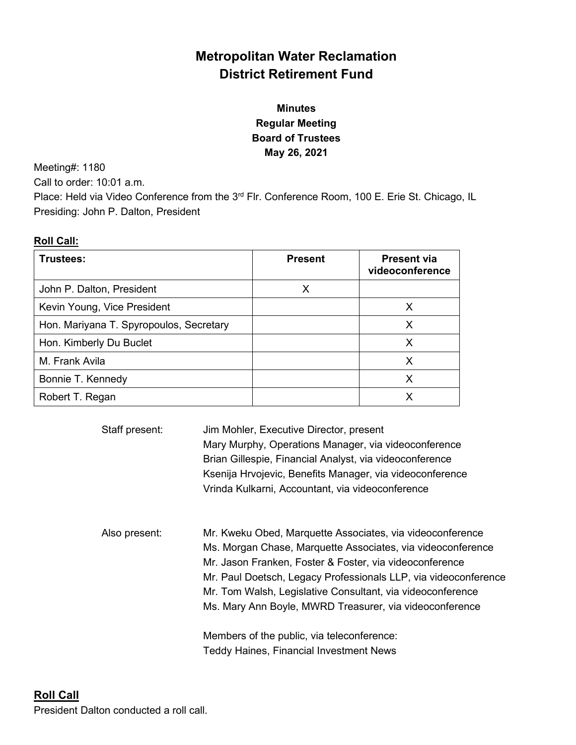# **Metropolitan Water Reclamation District Retirement Fund**

# **Minutes Regular Meeting Board of Trustees May 26, 2021**

Meeting#: 1180

Call to order: 10:01 a.m.

Place: Held via Video Conference from the 3<sup>rd</sup> Flr. Conference Room, 100 E. Erie St. Chicago, IL Presiding: John P. Dalton, President

# **Roll Call:**

| Trustees:                               | <b>Present</b> | <b>Present via</b><br>videoconference |
|-----------------------------------------|----------------|---------------------------------------|
| John P. Dalton, President               | х              |                                       |
| Kevin Young, Vice President             |                | X                                     |
| Hon. Mariyana T. Spyropoulos, Secretary |                | x                                     |
| Hon. Kimberly Du Buclet                 |                | х                                     |
| M. Frank Avila                          |                | х                                     |
| Bonnie T. Kennedy                       |                | Х                                     |
| Robert T. Regan                         |                |                                       |

| Staff present: | Jim Mohler, Executive Director, present<br>Mary Murphy, Operations Manager, via videoconference<br>Brian Gillespie, Financial Analyst, via videoconference<br>Ksenija Hrvojevic, Benefits Manager, via videoconference<br>Vrinda Kulkarni, Accountant, via videoconference                                                                                                      |
|----------------|---------------------------------------------------------------------------------------------------------------------------------------------------------------------------------------------------------------------------------------------------------------------------------------------------------------------------------------------------------------------------------|
| Also present:  | Mr. Kweku Obed, Marquette Associates, via videoconference<br>Ms. Morgan Chase, Marquette Associates, via videoconference<br>Mr. Jason Franken, Foster & Foster, via videoconference<br>Mr. Paul Doetsch, Legacy Professionals LLP, via videoconference<br>Mr. Tom Walsh, Legislative Consultant, via videoconference<br>Ms. Mary Ann Boyle, MWRD Treasurer, via videoconference |
|                | Members of the public, via teleconference:<br><b>Teddy Haines, Financial Investment News</b>                                                                                                                                                                                                                                                                                    |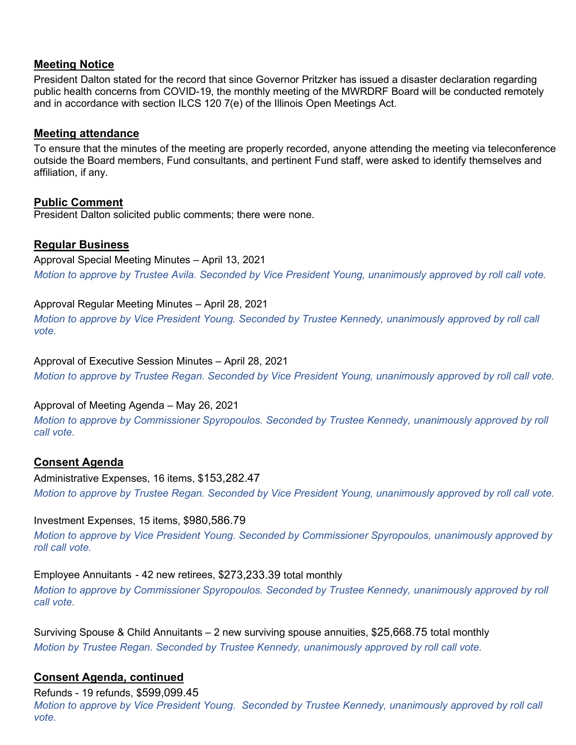### **Meeting Notice**

President Dalton stated for the record that since Governor Pritzker has issued a disaster declaration regarding public health concerns from COVID-19, the monthly meeting of the MWRDRF Board will be conducted remotely and in accordance with section ILCS 120 7(e) of the Illinois Open Meetings Act.

### **Meeting attendance**

To ensure that the minutes of the meeting are properly recorded, anyone attending the meeting via teleconference outside the Board members, Fund consultants, and pertinent Fund staff, were asked to identify themselves and affiliation, if any.

### **Public Comment**

President Dalton solicited public comments; there were none.

# **Regular Business**

Approval Special Meeting Minutes – April 13, 2021 *Motion to approve by Trustee Avila. Seconded by Vice President Young, unanimously approved by roll call vote.*

### Approval Regular Meeting Minutes – April 28, 2021

*Motion to approve by Vice President Young. Seconded by Trustee Kennedy, unanimously approved by roll call vote.*

Approval of Executive Session Minutes – April 28, 2021

*Motion to approve by Trustee Regan. Seconded by Vice President Young, unanimously approved by roll call vote.*

# Approval of Meeting Agenda – May 26, 2021

*Motion to approve by Commissioner Spyropoulos. Seconded by Trustee Kennedy, unanimously approved by roll call vote.*

# **Consent Agenda**

Administrative Expenses, 16 items, \$153,282.47 *Motion to approve by Trustee Regan. Seconded by Vice President Young, unanimously approved by roll call vote.*

### Investment Expenses, 15 items, \$980,586.79

*Motion to approve by Vice President Young. Seconded by Commissioner Spyropoulos, unanimously approved by roll call vote.*

### Employee Annuitants - 42 new retirees, \$273,233.39 total monthly

*Motion to approve by Commissioner Spyropoulos. Seconded by Trustee Kennedy, unanimously approved by roll call vote.* 

Surviving Spouse & Child Annuitants – 2 new surviving spouse annuities, \$25,668.75 total monthly *Motion by Trustee Regan. Seconded by Trustee Kennedy, unanimously approved by roll call vote.* 

# **Consent Agenda, continued**

Refunds - 19 refunds, \$599,099.45

*Motion to approve by Vice President Young. Seconded by Trustee Kennedy, unanimously approved by roll call vote.*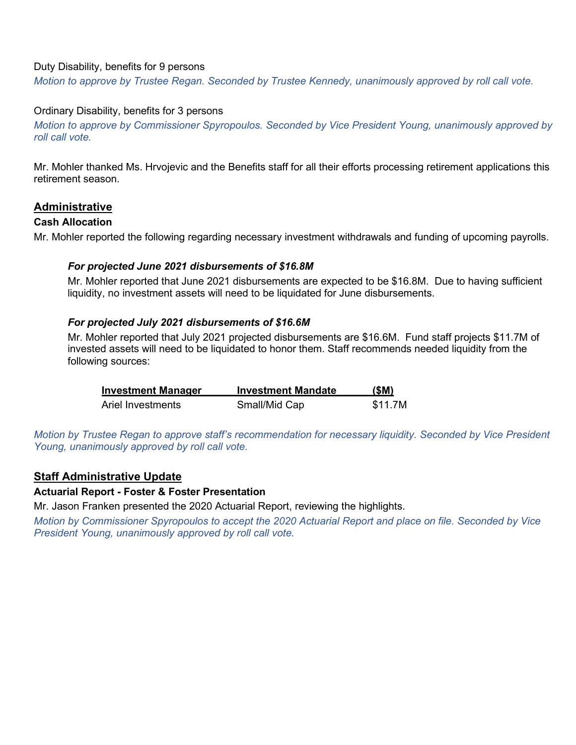#### Duty Disability, benefits for 9 persons

*Motion to approve by Trustee Regan. Seconded by Trustee Kennedy, unanimously approved by roll call vote.*

#### Ordinary Disability, benefits for 3 persons

*Motion to approve by Commissioner Spyropoulos. Seconded by Vice President Young, unanimously approved by roll call vote.*

Mr. Mohler thanked Ms. Hrvojevic and the Benefits staff for all their efforts processing retirement applications this retirement season.

### **Administrative**

#### **Cash Allocation**

Mr. Mohler reported the following regarding necessary investment withdrawals and funding of upcoming payrolls.

#### *For projected June 2021 disbursements of \$16.8M*

Mr. Mohler reported that June 2021 disbursements are expected to be \$16.8M. Due to having sufficient liquidity, no investment assets will need to be liquidated for June disbursements.

#### *For projected July 2021 disbursements of \$16.6M*

Mr. Mohler reported that July 2021 projected disbursements are \$16.6M. Fund staff projects \$11.7M of invested assets will need to be liquidated to honor them. Staff recommends needed liquidity from the following sources:

| <b>Investment Manager</b> | <b>Investment Mandate</b> | (SM)    |
|---------------------------|---------------------------|---------|
| Ariel Investments         | Small/Mid Cap             | \$11.7M |

*Motion by Trustee Regan to approve staff's recommendation for necessary liquidity. Seconded by Vice President Young, unanimously approved by roll call vote.*

# **Staff Administrative Update**

#### **Actuarial Report - Foster & Foster Presentation**

Mr. Jason Franken presented the 2020 Actuarial Report, reviewing the highlights.

*Motion by Commissioner Spyropoulos to accept the 2020 Actuarial Report and place on file. Seconded by Vice President Young, unanimously approved by roll call vote.*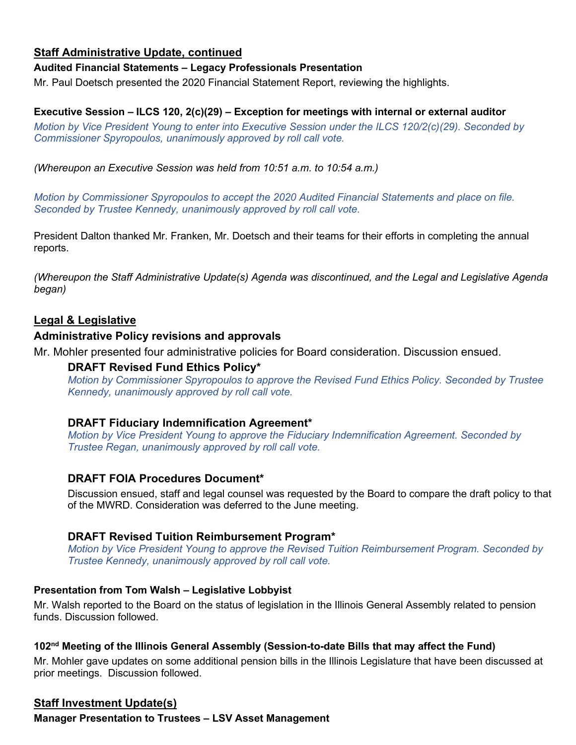# **Staff Administrative Update, continued**

### **Audited Financial Statements – Legacy Professionals Presentation**

Mr. Paul Doetsch presented the 2020 Financial Statement Report, reviewing the highlights.

# **Executive Session – ILCS 120, 2(c)(29) – Exception for meetings with internal or external auditor**

*Motion by Vice President Young to enter into Executive Session under the ILCS 120/2(c)(29). Seconded by Commissioner Spyropoulos, unanimously approved by roll call vote.*

*(Whereupon an Executive Session was held from 10:51 a.m. to 10:54 a.m.)*

*Motion by Commissioner Spyropoulos to accept the 2020 Audited Financial Statements and place on file. Seconded by Trustee Kennedy, unanimously approved by roll call vote.*

President Dalton thanked Mr. Franken, Mr. Doetsch and their teams for their efforts in completing the annual reports.

*(Whereupon the Staff Administrative Update(s) Agenda was discontinued, and the Legal and Legislative Agenda began)*

# **Legal & Legislative**

# **Administrative Policy revisions and approvals**

Mr. Mohler presented four administrative policies for Board consideration. Discussion ensued.

### **DRAFT Revised Fund Ethics Policy\***

*Motion by Commissioner Spyropoulos to approve the Revised Fund Ethics Policy. Seconded by Trustee Kennedy, unanimously approved by roll call vote.*

# **DRAFT Fiduciary Indemnification Agreement\***

*Motion by Vice President Young to approve the Fiduciary Indemnification Agreement. Seconded by Trustee Regan, unanimously approved by roll call vote.*

# **DRAFT FOIA Procedures Document\***

Discussion ensued, staff and legal counsel was requested by the Board to compare the draft policy to that of the MWRD. Consideration was deferred to the June meeting.

# **DRAFT Revised Tuition Reimbursement Program\***

*Motion by Vice President Young to approve the Revised Tuition Reimbursement Program. Seconded by Trustee Kennedy, unanimously approved by roll call vote.*

### **Presentation from Tom Walsh – Legislative Lobbyist**

Mr. Walsh reported to the Board on the status of legislation in the Illinois General Assembly related to pension funds. Discussion followed.

### **102nd Meeting of the Illinois General Assembly (Session-to-date Bills that may affect the Fund)**

Mr. Mohler gave updates on some additional pension bills in the Illinois Legislature that have been discussed at prior meetings. Discussion followed.

# **Staff Investment Update(s)**

**Manager Presentation to Trustees – LSV Asset Management**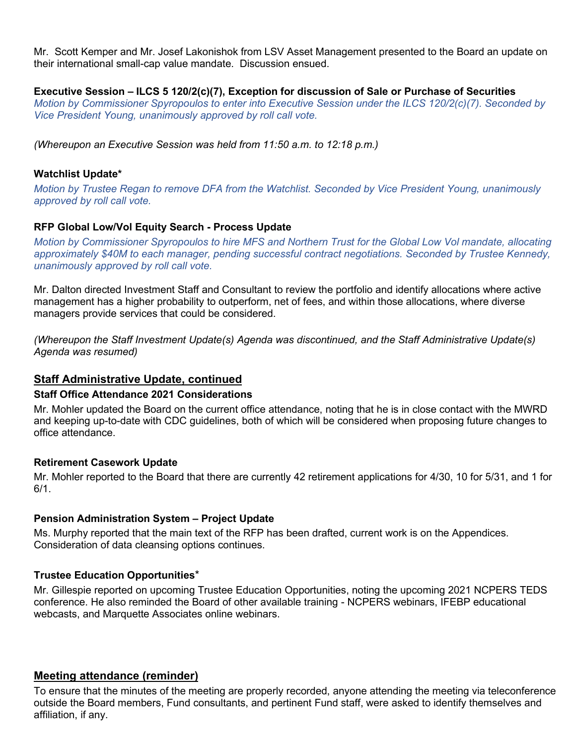Mr. Scott Kemper and Mr. Josef Lakonishok from LSV Asset Management presented to the Board an update on their international small-cap value mandate. Discussion ensued.

### **Executive Session – ILCS 5 120/2(c)(7), Exception for discussion of Sale or Purchase of Securities**

*Motion by Commissioner Spyropoulos to enter into Executive Session under the ILCS 120/2(c)(7). Seconded by Vice President Young, unanimously approved by roll call vote.*

*(Whereupon an Executive Session was held from 11:50 a.m. to 12:18 p.m.)*

#### **Watchlist Update\***

*Motion by Trustee Regan to remove DFA from the Watchlist. Seconded by Vice President Young, unanimously approved by roll call vote.*

### **RFP Global Low/Vol Equity Search - Process Update**

*Motion by Commissioner Spyropoulos to hire MFS and Northern Trust for the Global Low Vol mandate, allocating approximately \$40M to each manager, pending successful contract negotiations. Seconded by Trustee Kennedy, unanimously approved by roll call vote.*

Mr. Dalton directed Investment Staff and Consultant to review the portfolio and identify allocations where active management has a higher probability to outperform, net of fees, and within those allocations, where diverse managers provide services that could be considered.

*(Whereupon the Staff Investment Update(s) Agenda was discontinued, and the Staff Administrative Update(s) Agenda was resumed)* 

### **Staff Administrative Update, continued**

#### **Staff Office Attendance 2021 Considerations**

Mr. Mohler updated the Board on the current office attendance, noting that he is in close contact with the MWRD and keeping up-to-date with CDC guidelines, both of which will be considered when proposing future changes to office attendance.

#### **Retirement Casework Update**

Mr. Mohler reported to the Board that there are currently 42 retirement applications for 4/30, 10 for 5/31, and 1 for 6/1.

### **Pension Administration System – Project Update**

Ms. Murphy reported that the main text of the RFP has been drafted, current work is on the Appendices. Consideration of data cleansing options continues.

#### **Trustee Education Opportunities**\*

Mr. Gillespie reported on upcoming Trustee Education Opportunities, noting the upcoming 2021 NCPERS TEDS conference. He also reminded the Board of other available training - NCPERS webinars, IFEBP educational webcasts, and Marquette Associates online webinars.

### **Meeting attendance (reminder)**

To ensure that the minutes of the meeting are properly recorded, anyone attending the meeting via teleconference outside the Board members, Fund consultants, and pertinent Fund staff, were asked to identify themselves and affiliation, if any.